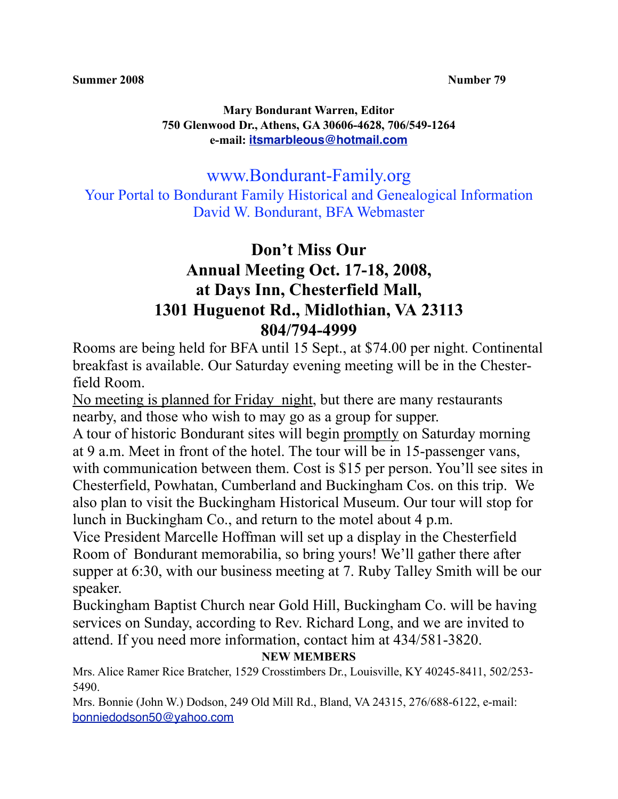#### **Mary Bondurant Warren, Editor 750 Glenwood Dr., Athens, GA 30606-4628, 706/549-1264 e-mail: [itsmarbleous@hotmail.com](mailto:itsmarbleous@hotmail.com)**

www.Bondurant-Family.org

Your Portal to Bondurant Family Historical and Genealogical Information David W. Bondurant, BFA Webmaster

# **Don't Miss Our Annual Meeting Oct. 17-18, 2008, at Days Inn, Chesterfield Mall, 1301 Huguenot Rd., Midlothian, VA 23113 804/794-4999**

Rooms are being held for BFA until 15 Sept., at \$74.00 per night. Continental breakfast is available. Our Saturday evening meeting will be in the Chesterfield Room.

No meeting is planned for Friday night, but there are many restaurants nearby, and those who wish to may go as a group for supper.

A tour of historic Bondurant sites will begin promptly on Saturday morning at 9 a.m. Meet in front of the hotel. The tour will be in 15-passenger vans, with communication between them. Cost is \$15 per person. You'll see sites in Chesterfield, Powhatan, Cumberland and Buckingham Cos. on this trip. We also plan to visit the Buckingham Historical Museum. Our tour will stop for lunch in Buckingham Co., and return to the motel about 4 p.m.

Vice President Marcelle Hoffman will set up a display in the Chesterfield Room of Bondurant memorabilia, so bring yours! We'll gather there after supper at 6:30, with our business meeting at 7. Ruby Talley Smith will be our speaker.

Buckingham Baptist Church near Gold Hill, Buckingham Co. will be having services on Sunday, according to Rev. Richard Long, and we are invited to attend. If you need more information, contact him at 434/581-3820.

### **NEW MEMBERS**

Mrs. Alice Ramer Rice Bratcher, 1529 Crosstimbers Dr., Louisville, KY 40245-8411, 502/253- 5490.

Mrs. Bonnie (John W.) Dodson, 249 Old Mill Rd., Bland, VA 24315, 276/688-6122, e-mail: [bonniedodson50@yahoo.com](mailto:bonniedodson50@yahoo.com)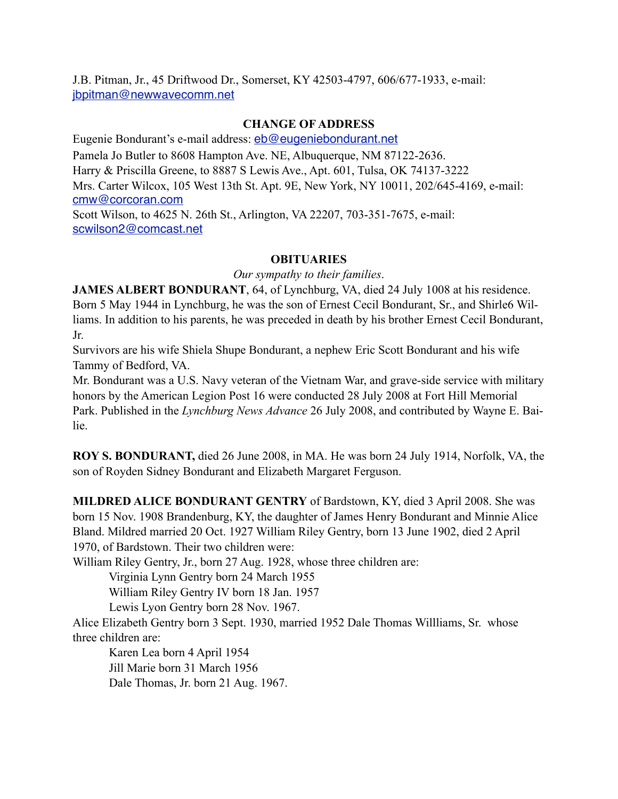J.B. Pitman, Jr., 45 Driftwood Dr., Somerset, KY 42503-4797, 606/677-1933, e-mail: [jbpitman@newwavecomm.net](mailto:jbpitman@newwavecomm.net)

#### **CHANGE OF ADDRESS**

Eugenie Bondurant's e-mail address: [eb@eugeniebondurant.net](mailto:eb@eugeniebondurant.net) Pamela Jo Butler to 8608 Hampton Ave. NE, Albuquerque, NM 87122-2636. Harry & Priscilla Greene, to 8887 S Lewis Ave., Apt. 601, Tulsa, OK 74137-3222 Mrs. Carter Wilcox, 105 West 13th St. Apt. 9E, New York, NY 10011, 202/645-4169, e-mail: [cmw@corcoran.com](mailto:cmw@corcoran.com) Scott Wilson, to 4625 N. 26th St., Arlington, VA 22207, 703-351-7675, e-mail: [scwilson2@comcast.net](mailto:scwilson2@comcast.net)

#### **OBITUARIES**

*Our sympathy to their families*.

**JAMES ALBERT BONDURANT**, 64, of Lynchburg, VA, died 24 July 1008 at his residence. Born 5 May 1944 in Lynchburg, he was the son of Ernest Cecil Bondurant, Sr., and Shirle6 Williams. In addition to his parents, he was preceded in death by his brother Ernest Cecil Bondurant, Jr.

Survivors are his wife Shiela Shupe Bondurant, a nephew Eric Scott Bondurant and his wife Tammy of Bedford, VA.

Mr. Bondurant was a U.S. Navy veteran of the Vietnam War, and grave-side service with military honors by the American Legion Post 16 were conducted 28 July 2008 at Fort Hill Memorial Park. Published in the *Lynchburg News Advance* 26 July 2008, and contributed by Wayne E. Bailie.

**ROY S. BONDURANT,** died 26 June 2008, in MA. He was born 24 July 1914, Norfolk, VA, the son of Royden Sidney Bondurant and Elizabeth Margaret Ferguson.

**MILDRED ALICE BONDURANT GENTRY** of Bardstown, KY, died 3 April 2008. She was born 15 Nov. 1908 Brandenburg, KY, the daughter of James Henry Bondurant and Minnie Alice Bland. Mildred married 20 Oct. 1927 William Riley Gentry, born 13 June 1902, died 2 April 1970, of Bardstown. Their two children were:

William Riley Gentry, Jr., born 27 Aug. 1928, whose three children are:

Virginia Lynn Gentry born 24 March 1955

William Riley Gentry IV born 18 Jan. 1957

Lewis Lyon Gentry born 28 Nov. 1967.

Alice Elizabeth Gentry born 3 Sept. 1930, married 1952 Dale Thomas Willliams, Sr. whose three children are:

 Karen Lea born 4 April 1954 Jill Marie born 31 March 1956 Dale Thomas, Jr. born 21 Aug. 1967.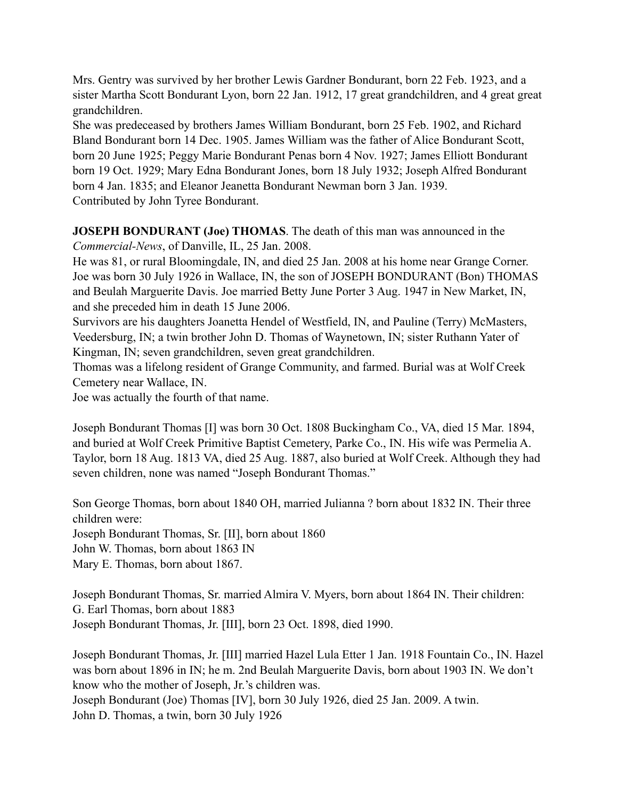Mrs. Gentry was survived by her brother Lewis Gardner Bondurant, born 22 Feb. 1923, and a sister Martha Scott Bondurant Lyon, born 22 Jan. 1912, 17 great grandchildren, and 4 great great grandchildren.

She was predeceased by brothers James William Bondurant, born 25 Feb. 1902, and Richard Bland Bondurant born 14 Dec. 1905. James William was the father of Alice Bondurant Scott, born 20 June 1925; Peggy Marie Bondurant Penas born 4 Nov. 1927; James Elliott Bondurant born 19 Oct. 1929; Mary Edna Bondurant Jones, born 18 July 1932; Joseph Alfred Bondurant born 4 Jan. 1835; and Eleanor Jeanetta Bondurant Newman born 3 Jan. 1939. Contributed by John Tyree Bondurant.

**JOSEPH BONDURANT (Joe) THOMAS**. The death of this man was announced in the *Commercial-News*, of Danville, IL, 25 Jan. 2008.

He was 81, or rural Bloomingdale, IN, and died 25 Jan. 2008 at his home near Grange Corner. Joe was born 30 July 1926 in Wallace, IN, the son of JOSEPH BONDURANT (Bon) THOMAS and Beulah Marguerite Davis. Joe married Betty June Porter 3 Aug. 1947 in New Market, IN, and she preceded him in death 15 June 2006.

Survivors are his daughters Joanetta Hendel of Westfield, IN, and Pauline (Terry) McMasters, Veedersburg, IN; a twin brother John D. Thomas of Waynetown, IN; sister Ruthann Yater of Kingman, IN; seven grandchildren, seven great grandchildren.

Thomas was a lifelong resident of Grange Community, and farmed. Burial was at Wolf Creek Cemetery near Wallace, IN.

Joe was actually the fourth of that name.

Joseph Bondurant Thomas [I] was born 30 Oct. 1808 Buckingham Co., VA, died 15 Mar. 1894, and buried at Wolf Creek Primitive Baptist Cemetery, Parke Co., IN. His wife was Permelia A. Taylor, born 18 Aug. 1813 VA, died 25 Aug. 1887, also buried at Wolf Creek. Although they had seven children, none was named "Joseph Bondurant Thomas."

Son George Thomas, born about 1840 OH, married Julianna ? born about 1832 IN. Their three children were:

Joseph Bondurant Thomas, Sr. [II], born about 1860

John W. Thomas, born about 1863 IN

Mary E. Thomas, born about 1867.

Joseph Bondurant Thomas, Sr. married Almira V. Myers, born about 1864 IN. Their children: G. Earl Thomas, born about 1883 Joseph Bondurant Thomas, Jr. [III], born 23 Oct. 1898, died 1990.

Joseph Bondurant Thomas, Jr. [III] married Hazel Lula Etter 1 Jan. 1918 Fountain Co., IN. Hazel was born about 1896 in IN; he m. 2nd Beulah Marguerite Davis, born about 1903 IN. We don't know who the mother of Joseph, Jr.'s children was. Joseph Bondurant (Joe) Thomas [IV], born 30 July 1926, died 25 Jan. 2009. A twin. John D. Thomas, a twin, born 30 July 1926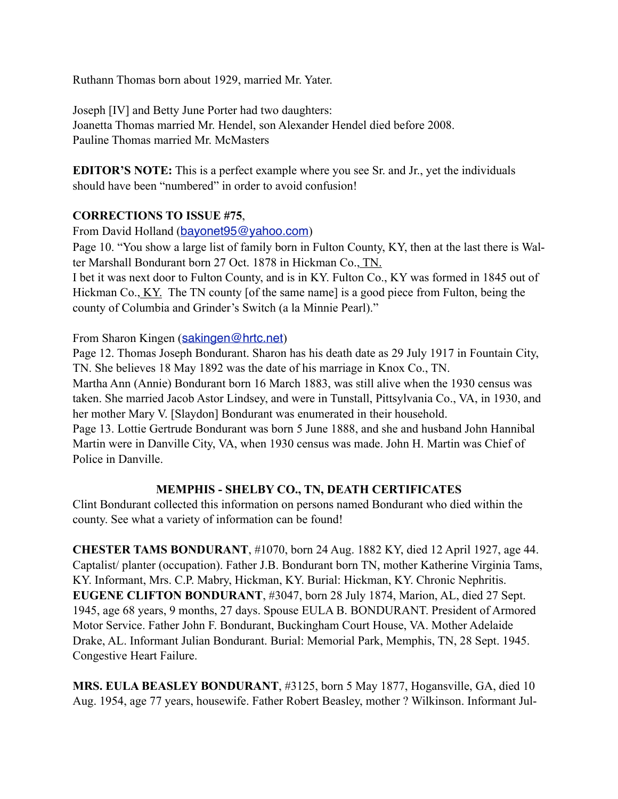Ruthann Thomas born about 1929, married Mr. Yater.

Joseph [IV] and Betty June Porter had two daughters: Joanetta Thomas married Mr. Hendel, son Alexander Hendel died before 2008. Pauline Thomas married Mr. McMasters

**EDITOR'S NOTE:** This is a perfect example where you see Sr. and Jr., yet the individuals should have been "numbered" in order to avoid confusion!

#### **CORRECTIONS TO ISSUE #75**,

From David Holland (bayonet 95@yahoo.com)

Page 10. "You show a large list of family born in Fulton County, KY, then at the last there is Walter Marshall Bondurant born 27 Oct. 1878 in Hickman Co., TN.

I bet it was next door to Fulton County, and is in KY. Fulton Co., KY was formed in 1845 out of Hickman Co., KY. The TN county [of the same name] is a good piece from Fulton, being the county of Columbia and Grinder's Switch (a la Minnie Pearl)."

From Sharon Kingen ([sakingen@hrtc.net](mailto:sakingen@hrtc.net))

Page 12. Thomas Joseph Bondurant. Sharon has his death date as 29 July 1917 in Fountain City, TN. She believes 18 May 1892 was the date of his marriage in Knox Co., TN. Martha Ann (Annie) Bondurant born 16 March 1883, was still alive when the 1930 census was

taken. She married Jacob Astor Lindsey, and were in Tunstall, Pittsylvania Co., VA, in 1930, and her mother Mary V. [Slaydon] Bondurant was enumerated in their household.

Page 13. Lottie Gertrude Bondurant was born 5 June 1888, and she and husband John Hannibal Martin were in Danville City, VA, when 1930 census was made. John H. Martin was Chief of Police in Danville.

#### **MEMPHIS - SHELBY CO., TN, DEATH CERTIFICATES**

Clint Bondurant collected this information on persons named Bondurant who died within the county. See what a variety of information can be found!

**CHESTER TAMS BONDURANT**, #1070, born 24 Aug. 1882 KY, died 12 April 1927, age 44. Captalist/ planter (occupation). Father J.B. Bondurant born TN, mother Katherine Virginia Tams, KY. Informant, Mrs. C.P. Mabry, Hickman, KY. Burial: Hickman, KY. Chronic Nephritis. **EUGENE CLIFTON BONDURANT**, #3047, born 28 July 1874, Marion, AL, died 27 Sept. 1945, age 68 years, 9 months, 27 days. Spouse EULA B. BONDURANT. President of Armored Motor Service. Father John F. Bondurant, Buckingham Court House, VA. Mother Adelaide Drake, AL. Informant Julian Bondurant. Burial: Memorial Park, Memphis, TN, 28 Sept. 1945. Congestive Heart Failure.

**MRS. EULA BEASLEY BONDURANT**, #3125, born 5 May 1877, Hogansville, GA, died 10 Aug. 1954, age 77 years, housewife. Father Robert Beasley, mother ? Wilkinson. Informant Jul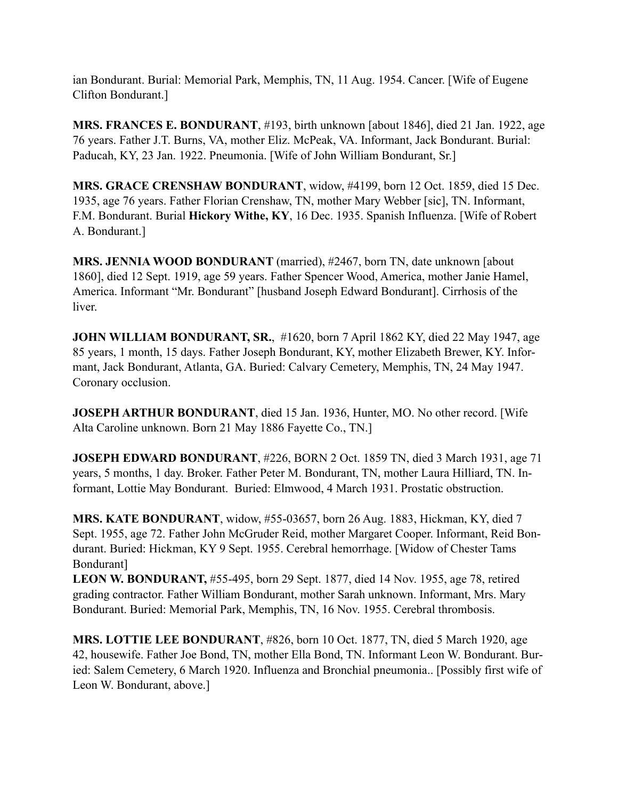ian Bondurant. Burial: Memorial Park, Memphis, TN, 11 Aug. 1954. Cancer. [Wife of Eugene Clifton Bondurant.]

**MRS. FRANCES E. BONDURANT**, #193, birth unknown [about 1846], died 21 Jan. 1922, age 76 years. Father J.T. Burns, VA, mother Eliz. McPeak, VA. Informant, Jack Bondurant. Burial: Paducah, KY, 23 Jan. 1922. Pneumonia. [Wife of John William Bondurant, Sr.]

**MRS. GRACE CRENSHAW BONDURANT**, widow, #4199, born 12 Oct. 1859, died 15 Dec. 1935, age 76 years. Father Florian Crenshaw, TN, mother Mary Webber [sic], TN. Informant, F.M. Bondurant. Burial **Hickory Withe, KY**, 16 Dec. 1935. Spanish Influenza. [Wife of Robert A. Bondurant.]

**MRS. JENNIA WOOD BONDURANT** (married), #2467, born TN, date unknown [about] 1860], died 12 Sept. 1919, age 59 years. Father Spencer Wood, America, mother Janie Hamel, America. Informant "Mr. Bondurant" [husband Joseph Edward Bondurant]. Cirrhosis of the liver.

**JOHN WILLIAM BONDURANT, SR.**, #1620, born 7 April 1862 KY, died 22 May 1947, age 85 years, 1 month, 15 days. Father Joseph Bondurant, KY, mother Elizabeth Brewer, KY. Informant, Jack Bondurant, Atlanta, GA. Buried: Calvary Cemetery, Memphis, TN, 24 May 1947. Coronary occlusion.

**JOSEPH ARTHUR BONDURANT**, died 15 Jan. 1936, Hunter, MO. No other record. [Wife Alta Caroline unknown. Born 21 May 1886 Fayette Co., TN.]

**JOSEPH EDWARD BONDURANT**, #226, BORN 2 Oct. 1859 TN, died 3 March 1931, age 71 years, 5 months, 1 day. Broker. Father Peter M. Bondurant, TN, mother Laura Hilliard, TN. Informant, Lottie May Bondurant. Buried: Elmwood, 4 March 1931. Prostatic obstruction.

**MRS. KATE BONDURANT**, widow, #55-03657, born 26 Aug. 1883, Hickman, KY, died 7 Sept. 1955, age 72. Father John McGruder Reid, mother Margaret Cooper. Informant, Reid Bondurant. Buried: Hickman, KY 9 Sept. 1955. Cerebral hemorrhage. [Widow of Chester Tams Bondurant]

**LEON W. BONDURANT,** #55-495, born 29 Sept. 1877, died 14 Nov. 1955, age 78, retired grading contractor. Father William Bondurant, mother Sarah unknown. Informant, Mrs. Mary Bondurant. Buried: Memorial Park, Memphis, TN, 16 Nov. 1955. Cerebral thrombosis.

**MRS. LOTTIE LEE BONDURANT**, #826, born 10 Oct. 1877, TN, died 5 March 1920, age 42, housewife. Father Joe Bond, TN, mother Ella Bond, TN. Informant Leon W. Bondurant. Buried: Salem Cemetery, 6 March 1920. Influenza and Bronchial pneumonia.. [Possibly first wife of Leon W. Bondurant, above.]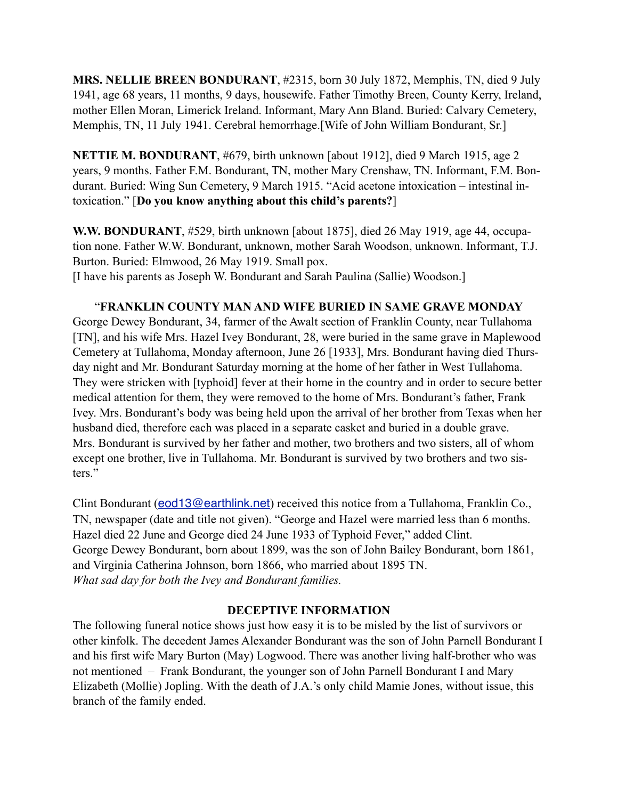**MRS. NELLIE BREEN BONDURANT**, #2315, born 30 July 1872, Memphis, TN, died 9 July 1941, age 68 years, 11 months, 9 days, housewife. Father Timothy Breen, County Kerry, Ireland, mother Ellen Moran, Limerick Ireland. Informant, Mary Ann Bland. Buried: Calvary Cemetery, Memphis, TN, 11 July 1941. Cerebral hemorrhage.[Wife of John William Bondurant, Sr.]

**NETTIE M. BONDURANT**, #679, birth unknown [about 1912], died 9 March 1915, age 2 years, 9 months. Father F.M. Bondurant, TN, mother Mary Crenshaw, TN. Informant, F.M. Bondurant. Buried: Wing Sun Cemetery, 9 March 1915. "Acid acetone intoxication – intestinal intoxication." [**Do you know anything about this child's parents?**]

**W.W. BONDURANT**, #529, birth unknown [about 1875], died 26 May 1919, age 44, occupation none. Father W.W. Bondurant, unknown, mother Sarah Woodson, unknown. Informant, T.J. Burton. Buried: Elmwood, 26 May 1919. Small pox. [I have his parents as Joseph W. Bondurant and Sarah Paulina (Sallie) Woodson.]

#### "**FRANKLIN COUNTY MAN AND WIFE BURIED IN SAME GRAVE MONDAY**

George Dewey Bondurant, 34, farmer of the Awalt section of Franklin County, near Tullahoma [TN], and his wife Mrs. Hazel Ivey Bondurant, 28, were buried in the same grave in Maplewood Cemetery at Tullahoma, Monday afternoon, June 26 [1933], Mrs. Bondurant having died Thursday night and Mr. Bondurant Saturday morning at the home of her father in West Tullahoma. They were stricken with [typhoid] fever at their home in the country and in order to secure better medical attention for them, they were removed to the home of Mrs. Bondurant's father, Frank Ivey. Mrs. Bondurant's body was being held upon the arrival of her brother from Texas when her husband died, therefore each was placed in a separate casket and buried in a double grave. Mrs. Bondurant is survived by her father and mother, two brothers and two sisters, all of whom except one brother, live in Tullahoma. Mr. Bondurant is survived by two brothers and two sisters."

Clint Bondurant (**[eod13@earthlink.net](mailto:eod13@earthlink.net)**) received this notice from a Tullahoma, Franklin Co., TN, newspaper (date and title not given). "George and Hazel were married less than 6 months. Hazel died 22 June and George died 24 June 1933 of Typhoid Fever," added Clint. George Dewey Bondurant, born about 1899, was the son of John Bailey Bondurant, born 1861, and Virginia Catherina Johnson, born 1866, who married about 1895 TN. *What sad day for both the Ivey and Bondurant families.* 

#### **DECEPTIVE INFORMATION**

The following funeral notice shows just how easy it is to be misled by the list of survivors or other kinfolk. The decedent James Alexander Bondurant was the son of John Parnell Bondurant I and his first wife Mary Burton (May) Logwood. There was another living half-brother who was not mentioned – Frank Bondurant, the younger son of John Parnell Bondurant I and Mary Elizabeth (Mollie) Jopling. With the death of J.A.'s only child Mamie Jones, without issue, this branch of the family ended.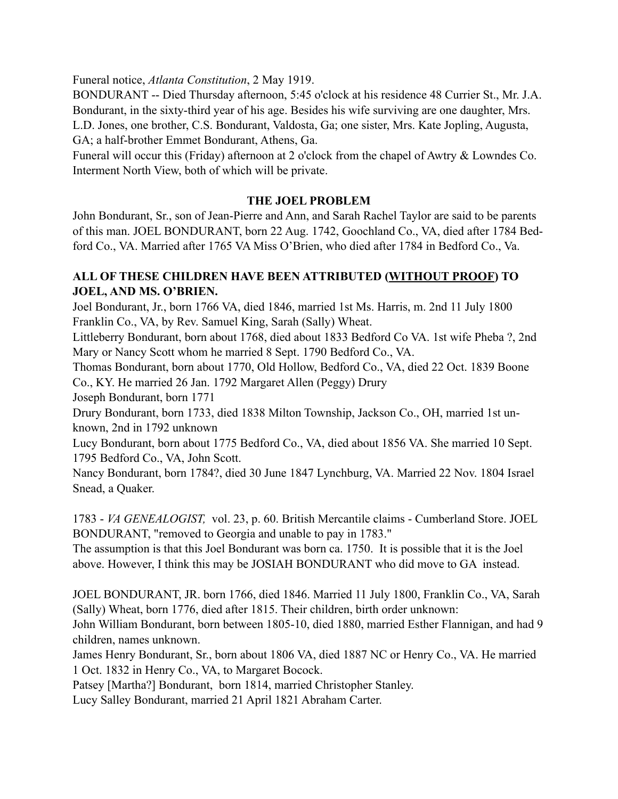Funeral notice, *Atlanta Constitution*, 2 May 1919.

BONDURANT -- Died Thursday afternoon, 5:45 o'clock at his residence 48 Currier St., Mr. J.A. Bondurant, in the sixty-third year of his age. Besides his wife surviving are one daughter, Mrs. L.D. Jones, one brother, C.S. Bondurant, Valdosta, Ga; one sister, Mrs. Kate Jopling, Augusta, GA; a half-brother Emmet Bondurant, Athens, Ga.

Funeral will occur this (Friday) afternoon at 2 o'clock from the chapel of Awtry & Lowndes Co. Interment North View, both of which will be private.

#### **THE JOEL PROBLEM**

John Bondurant, Sr., son of Jean-Pierre and Ann, and Sarah Rachel Taylor are said to be parents of this man. JOEL BONDURANT, born 22 Aug. 1742, Goochland Co., VA, died after 1784 Bedford Co., VA. Married after 1765 VA Miss O'Brien, who died after 1784 in Bedford Co., Va.

#### **ALL OF THESE CHILDREN HAVE BEEN ATTRIBUTED (WITHOUT PROOF) TO JOEL, AND MS. O'BRIEN.**

Joel Bondurant, Jr., born 1766 VA, died 1846, married 1st Ms. Harris, m. 2nd 11 July 1800 Franklin Co., VA, by Rev. Samuel King, Sarah (Sally) Wheat.

Littleberry Bondurant, born about 1768, died about 1833 Bedford Co VA. 1st wife Pheba ?, 2nd Mary or Nancy Scott whom he married 8 Sept. 1790 Bedford Co., VA.

Thomas Bondurant, born about 1770, Old Hollow, Bedford Co., VA, died 22 Oct. 1839 Boone Co., KY. He married 26 Jan. 1792 Margaret Allen (Peggy) Drury

Joseph Bondurant, born 1771

Drury Bondurant, born 1733, died 1838 Milton Township, Jackson Co., OH, married 1st unknown, 2nd in 1792 unknown

Lucy Bondurant, born about 1775 Bedford Co., VA, died about 1856 VA. She married 10 Sept. 1795 Bedford Co., VA, John Scott.

Nancy Bondurant, born 1784?, died 30 June 1847 Lynchburg, VA. Married 22 Nov. 1804 Israel Snead, a Quaker.

1783 - *VA GENEALOGIST,* vol. 23, p. 60. British Mercantile claims - Cumberland Store. JOEL BONDURANT, "removed to Georgia and unable to pay in 1783."

The assumption is that this Joel Bondurant was born ca. 1750. It is possible that it is the Joel above. However, I think this may be JOSIAH BONDURANT who did move to GA instead.

JOEL BONDURANT, JR. born 1766, died 1846. Married 11 July 1800, Franklin Co., VA, Sarah (Sally) Wheat, born 1776, died after 1815. Their children, birth order unknown:

John William Bondurant, born between 1805-10, died 1880, married Esther Flannigan, and had 9 children, names unknown.

James Henry Bondurant, Sr., born about 1806 VA, died 1887 NC or Henry Co., VA. He married 1 Oct. 1832 in Henry Co., VA, to Margaret Bocock.

Patsey [Martha?] Bondurant, born 1814, married Christopher Stanley.

Lucy Salley Bondurant, married 21 April 1821 Abraham Carter.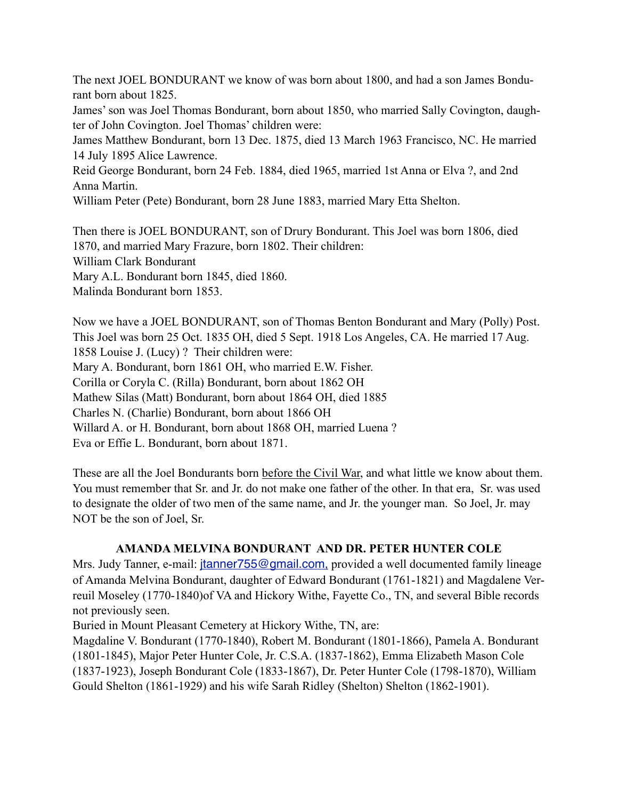The next JOEL BONDURANT we know of was born about 1800, and had a son James Bondurant born about 1825.

James' son was Joel Thomas Bondurant, born about 1850, who married Sally Covington, daughter of John Covington. Joel Thomas' children were:

James Matthew Bondurant, born 13 Dec. 1875, died 13 March 1963 Francisco, NC. He married 14 July 1895 Alice Lawrence.

Reid George Bondurant, born 24 Feb. 1884, died 1965, married 1st Anna or Elva ?, and 2nd Anna Martin.

William Peter (Pete) Bondurant, born 28 June 1883, married Mary Etta Shelton.

Then there is JOEL BONDURANT, son of Drury Bondurant. This Joel was born 1806, died 1870, and married Mary Frazure, born 1802. Their children: William Clark Bondurant Mary A.L. Bondurant born 1845, died 1860. Malinda Bondurant born 1853.

Now we have a JOEL BONDURANT, son of Thomas Benton Bondurant and Mary (Polly) Post. This Joel was born 25 Oct. 1835 OH, died 5 Sept. 1918 Los Angeles, CA. He married 17 Aug. 1858 Louise J. (Lucy) ? Their children were: Mary A. Bondurant, born 1861 OH, who married E.W. Fisher. Corilla or Coryla C. (Rilla) Bondurant, born about 1862 OH Mathew Silas (Matt) Bondurant, born about 1864 OH, died 1885 Charles N. (Charlie) Bondurant, born about 1866 OH Willard A. or H. Bondurant, born about 1868 OH, married Luena ? Eva or Effie L. Bondurant, born about 1871.

These are all the Joel Bondurants born before the Civil War, and what little we know about them. You must remember that Sr. and Jr. do not make one father of the other. In that era, Sr. was used to designate the older of two men of the same name, and Jr. the younger man. So Joel, Jr. may NOT be the son of Joel, Sr.

#### **AMANDA MELVINA BONDURANT AND DR. PETER HUNTER COLE**

Mrs. Judy Tanner, e-mail: *jtanner755@gmail.com*, provided a well documented family lineage of Amanda Melvina Bondurant, daughter of Edward Bondurant (1761-1821) and Magdalene Verreuil Moseley (1770-1840)of VA and Hickory Withe, Fayette Co., TN, and several Bible records not previously seen.

Buried in Mount Pleasant Cemetery at Hickory Withe, TN, are:

Magdaline V. Bondurant (1770-1840), Robert M. Bondurant (1801-1866), Pamela A. Bondurant (1801-1845), Major Peter Hunter Cole, Jr. C.S.A. (1837-1862), Emma Elizabeth Mason Cole (1837-1923), Joseph Bondurant Cole (1833-1867), Dr. Peter Hunter Cole (1798-1870), William Gould Shelton (1861-1929) and his wife Sarah Ridley (Shelton) Shelton (1862-1901).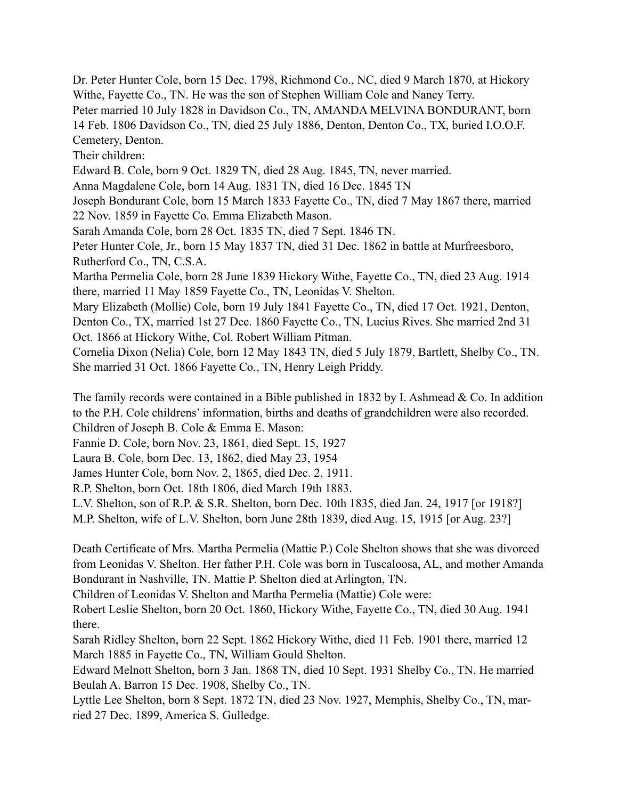Dr. Peter Hunter Cole, born 15 Dec. 1798, Richmond Co., NC, died 9 March 1870, at Hickory Withe, Fayette Co., TN. He was the son of Stephen William Cole and Nancy Terry. Peter married 10 July 1828 in Davidson Co., TN, AMANDA MELVINA BONDURANT, born 14 Feb. 1806 Davidson Co., TN, died 25 July 1886, Denton, Denton Co., TX, buried I.O.O.F. Cemetery, Denton. Their children: Edward B. Cole, born 9 Oct. 1829 TN, died 28 Aug. 1845, TN, never married. Anna Magdalene Cole, born 14 Aug. 1831 TN, died 16 Dec. 1845 TN Joseph Bondurant Cole, born 15 March 1833 Fayette Co., TN, died 7 May 1867 there, married 22 Nov. 1859 in Fayette Co. Emma Elizabeth Mason. Sarah Amanda Cole, born 28 Oct. 1835 TN, died 7 Sept. 1846 TN. Peter Hunter Cole, Jr., born 15 May 1837 TN, died 31 Dec. 1862 in battle at Murfreesboro, Rutherford Co., TN, C.S.A. Martha Permelia Cole, born 28 June 1839 Hickory Withe, Fayette Co., TN, died 23 Aug. 1914 there, married 11 May 1859 Fayette Co., TN, Leonidas V. Shelton. Mary Elizabeth (Mollie) Cole, born 19 July 1841 Fayette Co., TN, died 17 Oct. 1921, Denton,

Denton Co., TX, married 1st 27 Dec. 1860 Fayette Co., TN, Lucius Rives. She married 2nd 31 Oct. 1866 at Hickory Withe, Col. Robert William Pitman.

Cornelia Dixon (Nelia) Cole, born 12 May 1843 TN, died 5 July 1879, Bartlett, Shelby Co., TN. She married 31 Oct. 1866 Fayette Co., TN, Henry Leigh Priddy.

The family records were contained in a Bible published in 1832 by I. Ashmead & Co. In addition to the P.H. Cole childrens' information, births and deaths of grandchildren were also recorded. Children of Joseph B. Cole & Emma E. Mason:

Fannie D. Cole, born Nov. 23, 1861, died Sept. 15, 1927

Laura B. Cole, born Dec. 13, 1862, died May 23, 1954

James Hunter Cole, born Nov. 2, 1865, died Dec. 2, 1911.

R.P. Shelton, born Oct. 18th 1806, died March 19th 1883.

L.V. Shelton, son of R.P. & S.R. Shelton, born Dec. 10th 1835, died Jan. 24, 1917 [or 1918?]

M.P. Shelton, wife of L.V. Shelton, born June 28th 1839, died Aug. 15, 1915 [or Aug. 23?]

Death Certificate of Mrs. Martha Permelia (Mattie P.) Cole Shelton shows that she was divorced from Leonidas V. Shelton. Her father P.H. Cole was born in Tuscaloosa, AL, and mother Amanda Bondurant in Nashville, TN. Mattie P. Shelton died at Arlington, TN.

Children of Leonidas V. Shelton and Martha Permelia (Mattie) Cole were:

Robert Leslie Shelton, born 20 Oct. 1860, Hickory Withe, Fayette Co., TN, died 30 Aug. 1941 there.

Sarah Ridley Shelton, born 22 Sept. 1862 Hickory Withe, died 11 Feb. 1901 there, married 12 March 1885 in Fayette Co., TN, William Gould Shelton.

Edward Melnott Shelton, born 3 Jan. 1868 TN, died 10 Sept. 1931 Shelby Co., TN. He married Beulah A. Barron 15 Dec. 1908, Shelby Co., TN.

Lyttle Lee Shelton, born 8 Sept. 1872 TN, died 23 Nov. 1927, Memphis, Shelby Co., TN, married 27 Dec. 1899, America S. Gulledge.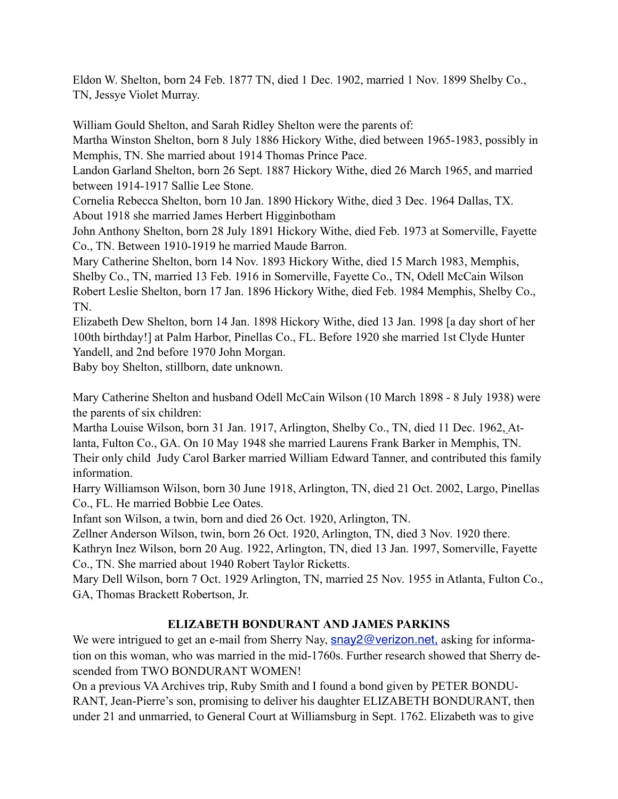Eldon W. Shelton, born 24 Feb. 1877 TN, died 1 Dec. 1902, married 1 Nov. 1899 Shelby Co., TN, Jessye Violet Murray.

William Gould Shelton, and Sarah Ridley Shelton were the parents of:

Martha Winston Shelton, born 8 July 1886 Hickory Withe, died between 1965-1983, possibly in Memphis, TN. She married about 1914 Thomas Prince Pace.

Landon Garland Shelton, born 26 Sept. 1887 Hickory Withe, died 26 March 1965, and married between 1914-1917 Sallie Lee Stone.

Cornelia Rebecca Shelton, born 10 Jan. 1890 Hickory Withe, died 3 Dec. 1964 Dallas, TX. About 1918 she married James Herbert Higginbotham

John Anthony Shelton, born 28 July 1891 Hickory Withe, died Feb. 1973 at Somerville, Fayette Co., TN. Between 1910-1919 he married Maude Barron.

Mary Catherine Shelton, born 14 Nov. 1893 Hickory Withe, died 15 March 1983, Memphis, Shelby Co., TN, married 13 Feb. 1916 in Somerville, Fayette Co., TN, Odell McCain Wilson Robert Leslie Shelton, born 17 Jan. 1896 Hickory Withe, died Feb. 1984 Memphis, Shelby Co., TN.

Elizabeth Dew Shelton, born 14 Jan. 1898 Hickory Withe, died 13 Jan. 1998 [a day short of her 100th birthday!] at Palm Harbor, Pinellas Co., FL. Before 1920 she married 1st Clyde Hunter Yandell, and 2nd before 1970 John Morgan.

Baby boy Shelton, stillborn, date unknown.

Mary Catherine Shelton and husband Odell McCain Wilson (10 March 1898 - 8 July 1938) were the parents of six children:

Martha Louise Wilson, born 31 Jan. 1917, Arlington, Shelby Co., TN, died 11 Dec. 1962, Atlanta, Fulton Co., GA. On 10 May 1948 she married Laurens Frank Barker in Memphis, TN. Their only child Judy Carol Barker married William Edward Tanner, and contributed this family information.

Harry Williamson Wilson, born 30 June 1918, Arlington, TN, died 21 Oct. 2002, Largo, Pinellas Co., FL. He married Bobbie Lee Oates.

Infant son Wilson, a twin, born and died 26 Oct. 1920, Arlington, TN.

Zellner Anderson Wilson, twin, born 26 Oct. 1920, Arlington, TN, died 3 Nov. 1920 there.

Kathryn Inez Wilson, born 20 Aug. 1922, Arlington, TN, died 13 Jan. 1997, Somerville, Fayette Co., TN. She married about 1940 Robert Taylor Ricketts.

Mary Dell Wilson, born 7 Oct. 1929 Arlington, TN, married 25 Nov. 1955 in Atlanta, Fulton Co., GA, Thomas Brackett Robertson, Jr.

### **ELIZABETH BONDURANT AND JAMES PARKINS**

We were intrigued to get an e-mail from Sherry Nay, [snay2@verizon.net,](mailto:snay2@verizon.net,) asking for information on this woman, who was married in the mid-1760s. Further research showed that Sherry descended from TWO BONDURANT WOMEN!

On a previous VA Archives trip, Ruby Smith and I found a bond given by PETER BONDU-RANT, Jean-Pierre's son, promising to deliver his daughter ELIZABETH BONDURANT, then under 21 and unmarried, to General Court at Williamsburg in Sept. 1762. Elizabeth was to give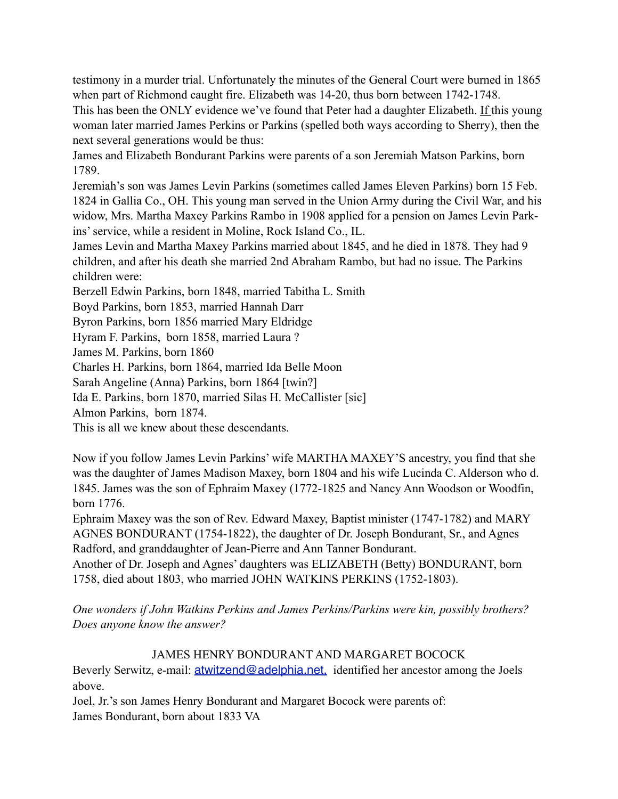testimony in a murder trial. Unfortunately the minutes of the General Court were burned in 1865 when part of Richmond caught fire. Elizabeth was 14-20, thus born between 1742-1748.

This has been the ONLY evidence we've found that Peter had a daughter Elizabeth. If this young woman later married James Perkins or Parkins (spelled both ways according to Sherry), then the next several generations would be thus:

James and Elizabeth Bondurant Parkins were parents of a son Jeremiah Matson Parkins, born 1789.

Jeremiah's son was James Levin Parkins (sometimes called James Eleven Parkins) born 15 Feb. 1824 in Gallia Co., OH. This young man served in the Union Army during the Civil War, and his widow, Mrs. Martha Maxey Parkins Rambo in 1908 applied for a pension on James Levin Parkins' service, while a resident in Moline, Rock Island Co., IL.

James Levin and Martha Maxey Parkins married about 1845, and he died in 1878. They had 9 children, and after his death she married 2nd Abraham Rambo, but had no issue. The Parkins children were:

Berzell Edwin Parkins, born 1848, married Tabitha L. Smith

Boyd Parkins, born 1853, married Hannah Darr

Byron Parkins, born 1856 married Mary Eldridge

Hyram F. Parkins, born 1858, married Laura ?

James M. Parkins, born 1860

Charles H. Parkins, born 1864, married Ida Belle Moon

Sarah Angeline (Anna) Parkins, born 1864 [twin?]

Ida E. Parkins, born 1870, married Silas H. McCallister [sic]

Almon Parkins, born 1874.

This is all we knew about these descendants.

Now if you follow James Levin Parkins' wife MARTHA MAXEY'S ancestry, you find that she was the daughter of James Madison Maxey, born 1804 and his wife Lucinda C. Alderson who d. 1845. James was the son of Ephraim Maxey (1772-1825 and Nancy Ann Woodson or Woodfin, born 1776.

Ephraim Maxey was the son of Rev. Edward Maxey, Baptist minister (1747-1782) and MARY AGNES BONDURANT (1754-1822), the daughter of Dr. Joseph Bondurant, Sr., and Agnes Radford, and granddaughter of Jean-Pierre and Ann Tanner Bondurant.

Another of Dr. Joseph and Agnes' daughters was ELIZABETH (Betty) BONDURANT, born 1758, died about 1803, who married JOHN WATKINS PERKINS (1752-1803).

*One wonders if John Watkins Perkins and James Perkins/Parkins were kin, possibly brothers? Does anyone know the answer?*

#### JAMES HENRY BONDURANT AND MARGARET BOCOCK

Beverly Serwitz, e-mail: **atwitzend@adelphia.net**, identified her ancestor among the Joels above.

Joel, Jr.'s son James Henry Bondurant and Margaret Bocock were parents of: James Bondurant, born about 1833 VA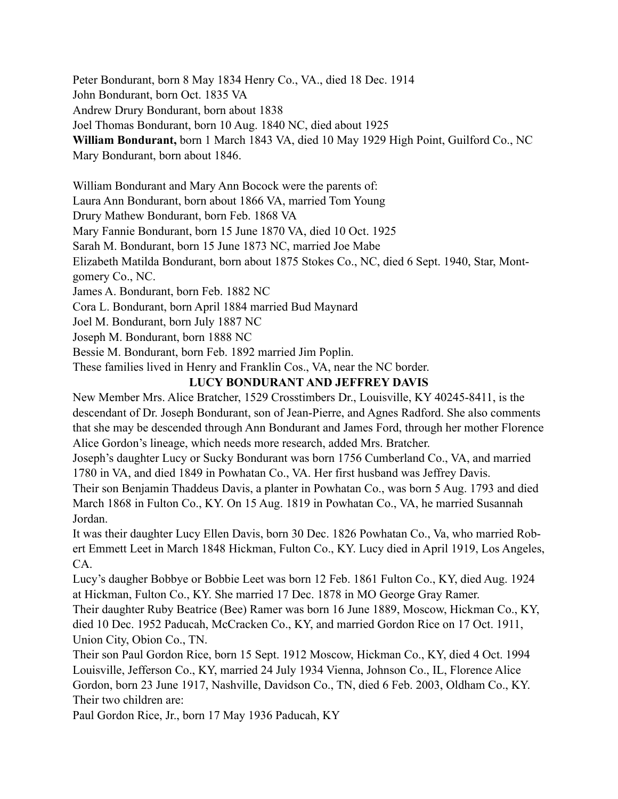Peter Bondurant, born 8 May 1834 Henry Co., VA., died 18 Dec. 1914

John Bondurant, born Oct. 1835 VA

Andrew Drury Bondurant, born about 1838

Joel Thomas Bondurant, born 10 Aug. 1840 NC, died about 1925

**William Bondurant,** born 1 March 1843 VA, died 10 May 1929 High Point, Guilford Co., NC Mary Bondurant, born about 1846.

William Bondurant and Mary Ann Bocock were the parents of:

Laura Ann Bondurant, born about 1866 VA, married Tom Young

Drury Mathew Bondurant, born Feb. 1868 VA

Mary Fannie Bondurant, born 15 June 1870 VA, died 10 Oct. 1925

Sarah M. Bondurant, born 15 June 1873 NC, married Joe Mabe

Elizabeth Matilda Bondurant, born about 1875 Stokes Co., NC, died 6 Sept. 1940, Star, Montgomery Co., NC.

James A. Bondurant, born Feb. 1882 NC

Cora L. Bondurant, born April 1884 married Bud Maynard

Joel M. Bondurant, born July 1887 NC

Joseph M. Bondurant, born 1888 NC

Bessie M. Bondurant, born Feb. 1892 married Jim Poplin.

These families lived in Henry and Franklin Cos., VA, near the NC border.

### **LUCY BONDURANT AND JEFFREY DAVIS**

New Member Mrs. Alice Bratcher, 1529 Crosstimbers Dr., Louisville, KY 40245-8411, is the descendant of Dr. Joseph Bondurant, son of Jean-Pierre, and Agnes Radford. She also comments that she may be descended through Ann Bondurant and James Ford, through her mother Florence Alice Gordon's lineage, which needs more research, added Mrs. Bratcher.

Joseph's daughter Lucy or Sucky Bondurant was born 1756 Cumberland Co., VA, and married 1780 in VA, and died 1849 in Powhatan Co., VA. Her first husband was Jeffrey Davis.

Their son Benjamin Thaddeus Davis, a planter in Powhatan Co., was born 5 Aug. 1793 and died March 1868 in Fulton Co., KY. On 15 Aug. 1819 in Powhatan Co., VA, he married Susannah Jordan.

It was their daughter Lucy Ellen Davis, born 30 Dec. 1826 Powhatan Co., Va, who married Robert Emmett Leet in March 1848 Hickman, Fulton Co., KY. Lucy died in April 1919, Los Angeles, CA.

Lucy's daugher Bobbye or Bobbie Leet was born 12 Feb. 1861 Fulton Co., KY, died Aug. 1924 at Hickman, Fulton Co., KY. She married 17 Dec. 1878 in MO George Gray Ramer.

Their daughter Ruby Beatrice (Bee) Ramer was born 16 June 1889, Moscow, Hickman Co., KY, died 10 Dec. 1952 Paducah, McCracken Co., KY, and married Gordon Rice on 17 Oct. 1911, Union City, Obion Co., TN.

Their son Paul Gordon Rice, born 15 Sept. 1912 Moscow, Hickman Co., KY, died 4 Oct. 1994 Louisville, Jefferson Co., KY, married 24 July 1934 Vienna, Johnson Co., IL, Florence Alice Gordon, born 23 June 1917, Nashville, Davidson Co., TN, died 6 Feb. 2003, Oldham Co., KY. Their two children are:

Paul Gordon Rice, Jr., born 17 May 1936 Paducah, KY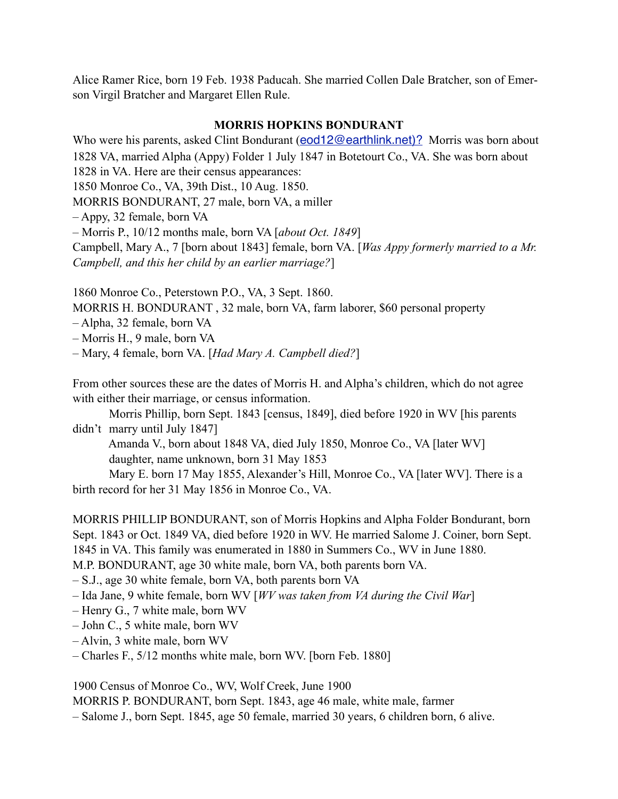Alice Ramer Rice, born 19 Feb. 1938 Paducah. She married Collen Dale Bratcher, son of Emerson Virgil Bratcher and Margaret Ellen Rule.

#### **MORRIS HOPKINS BONDURANT**

Who were his parents, asked Clint Bondurant ([eod12@earthlink.net\)?](mailto:eod12@earthlink.net)?) Morris was born about 1828 VA, married Alpha (Appy) Folder 1 July 1847 in Botetourt Co., VA. She was born about 1828 in VA. Here are their census appearances: 1850 Monroe Co., VA, 39th Dist., 10 Aug. 1850. MORRIS BONDURANT, 27 male, born VA, a miller – Appy, 32 female, born VA – Morris P., 10/12 months male, born VA [*about Oct. 1849*]

Campbell, Mary A., 7 [born about 1843] female, born VA. [*Was Appy formerly married to a Mr. Campbell, and this her child by an earlier marriage?*]

1860 Monroe Co., Peterstown P.O., VA, 3 Sept. 1860.

MORRIS H. BONDURANT , 32 male, born VA, farm laborer, \$60 personal property

– Alpha, 32 female, born VA

– Morris H., 9 male, born VA

– Mary, 4 female, born VA. [*Had Mary A. Campbell died?*]

From other sources these are the dates of Morris H. and Alpha's children, which do not agree with either their marriage, or census information.

 Morris Phillip, born Sept. 1843 [census, 1849], died before 1920 in WV [his parents didn't marry until July 1847]

 Amanda V., born about 1848 VA, died July 1850, Monroe Co., VA [later WV] daughter, name unknown, born 31 May 1853

 Mary E. born 17 May 1855, Alexander's Hill, Monroe Co., VA [later WV]. There is a birth record for her 31 May 1856 in Monroe Co., VA.

MORRIS PHILLIP BONDURANT, son of Morris Hopkins and Alpha Folder Bondurant, born Sept. 1843 or Oct. 1849 VA, died before 1920 in WV. He married Salome J. Coiner, born Sept. 1845 in VA. This family was enumerated in 1880 in Summers Co., WV in June 1880.

M.P. BONDURANT, age 30 white male, born VA, both parents born VA.

– S.J., age 30 white female, born VA, both parents born VA

– Ida Jane, 9 white female, born WV [*WV was taken from VA during the Civil War*]

– Henry G., 7 white male, born WV

– John C., 5 white male, born WV

– Alvin, 3 white male, born WV

– Charles F., 5/12 months white male, born WV. [born Feb. 1880]

1900 Census of Monroe Co., WV, Wolf Creek, June 1900

MORRIS P. BONDURANT, born Sept. 1843, age 46 male, white male, farmer

– Salome J., born Sept. 1845, age 50 female, married 30 years, 6 children born, 6 alive.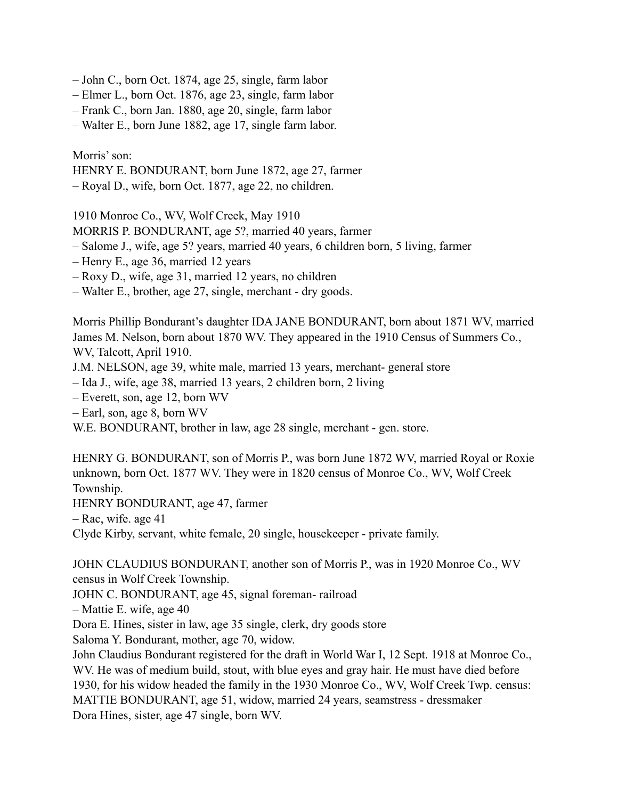- John C., born Oct. 1874, age 25, single, farm labor
- Elmer L., born Oct. 1876, age 23, single, farm labor
- Frank C., born Jan. 1880, age 20, single, farm labor
- Walter E., born June 1882, age 17, single farm labor.

Morris' son:

HENRY E. BONDURANT, born June 1872, age 27, farmer

– Royal D., wife, born Oct. 1877, age 22, no children.

1910 Monroe Co., WV, Wolf Creek, May 1910

- MORRIS P. BONDURANT, age 5?, married 40 years, farmer
- Salome J., wife, age 5? years, married 40 years, 6 children born, 5 living, farmer
- Henry E., age 36, married 12 years
- Roxy D., wife, age 31, married 12 years, no children
- Walter E., brother, age 27, single, merchant dry goods.

Morris Phillip Bondurant's daughter IDA JANE BONDURANT, born about 1871 WV, married James M. Nelson, born about 1870 WV. They appeared in the 1910 Census of Summers Co., WV, Talcott, April 1910.

- J.M. NELSON, age 39, white male, married 13 years, merchant- general store
- Ida J., wife, age 38, married 13 years, 2 children born, 2 living
- Everett, son, age 12, born WV
- Earl, son, age 8, born WV

W.E. BONDURANT, brother in law, age 28 single, merchant - gen. store.

HENRY G. BONDURANT, son of Morris P., was born June 1872 WV, married Royal or Roxie unknown, born Oct. 1877 WV. They were in 1820 census of Monroe Co., WV, Wolf Creek Township.

HENRY BONDURANT, age 47, farmer

– Rac, wife. age 41

Clyde Kirby, servant, white female, 20 single, housekeeper - private family.

JOHN CLAUDIUS BONDURANT, another son of Morris P., was in 1920 Monroe Co., WV census in Wolf Creek Township.

JOHN C. BONDURANT, age 45, signal foreman- railroad

– Mattie E. wife, age 40

Dora E. Hines, sister in law, age 35 single, clerk, dry goods store

Saloma Y. Bondurant, mother, age 70, widow.

John Claudius Bondurant registered for the draft in World War I, 12 Sept. 1918 at Monroe Co., WV. He was of medium build, stout, with blue eyes and gray hair. He must have died before 1930, for his widow headed the family in the 1930 Monroe Co., WV, Wolf Creek Twp. census: MATTIE BONDURANT, age 51, widow, married 24 years, seamstress - dressmaker Dora Hines, sister, age 47 single, born WV.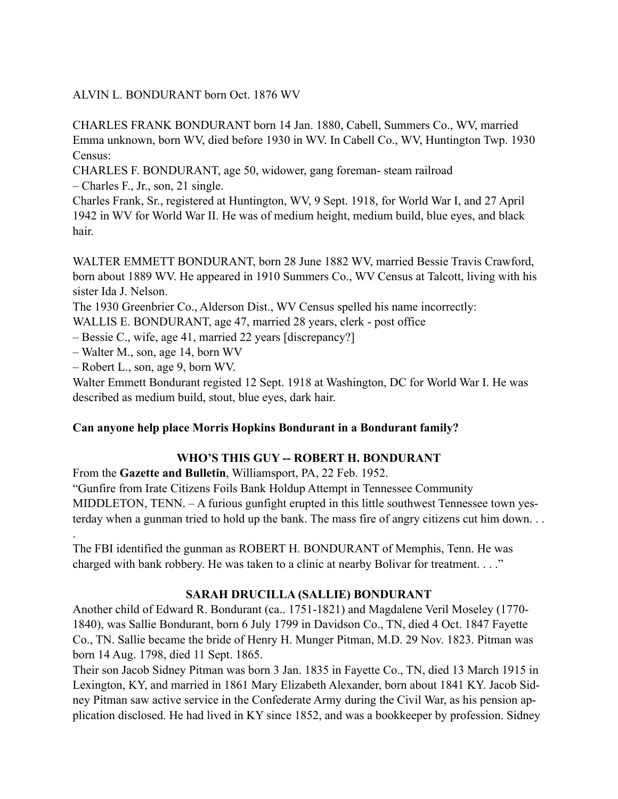ALVIN L. BONDURANT born Oct. 1876 WV

CHARLES FRANK BONDURANT born 14 Jan. 1880, Cabell, Summers Co., WV, married Emma unknown, born WV, died before 1930 in WV. In Cabell Co., WV, Huntington Twp. 1930 Census:

CHARLES F. BONDURANT, age 50, widower, gang foreman- steam railroad – Charles F., Jr., son, 21 single.

Charles Frank, Sr., registered at Huntington, WV, 9 Sept. 1918, for World War I, and 27 April 1942 in WV for World War II. He was of medium height, medium build, blue eyes, and black hair.

WALTER EMMETT BONDURANT, born 28 June 1882 WV, married Bessie Travis Crawford, born about 1889 WV. He appeared in 1910 Summers Co., WV Census at Talcott, living with his sister Ida J. Nelson.

The 1930 Greenbrier Co., Alderson Dist., WV Census spelled his name incorrectly:

WALLIS E. BONDURANT, age 47, married 28 years, clerk - post office

– Bessie C., wife, age 41, married 22 years [discrepancy?]

– Walter M., son, age 14, born WV

– Robert L., son, age 9, born WV.

.

Walter Emmett Bondurant registed 12 Sept. 1918 at Washington, DC for World War I. He was described as medium build, stout, blue eyes, dark hair.

#### **Can anyone help place Morris Hopkins Bondurant in a Bondurant family?**

#### **WHO'S THIS GUY -- ROBERT H. BONDURANT**

From the **Gazette and Bulletin**, Williamsport, PA, 22 Feb. 1952.

"Gunfire from Irate Citizens Foils Bank Holdup Attempt in Tennessee Community MIDDLETON, TENN. – A furious gunfight erupted in this little southwest Tennessee town yesterday when a gunman tried to hold up the bank. The mass fire of angry citizens cut him down. . .

The FBI identified the gunman as ROBERT H. BONDURANT of Memphis, Tenn. He was charged with bank robbery. He was taken to a clinic at nearby Bolivar for treatment. . . ."

#### **SARAH DRUCILLA (SALLIE) BONDURANT**

Another child of Edward R. Bondurant (ca.. 1751-1821) and Magdalene Veril Moseley (1770- 1840), was Sallie Bondurant, born 6 July 1799 in Davidson Co., TN, died 4 Oct. 1847 Fayette Co., TN. Sallie became the bride of Henry H. Munger Pitman, M.D. 29 Nov. 1823. Pitman was born 14 Aug. 1798, died 11 Sept. 1865.

Their son Jacob Sidney Pitman was born 3 Jan. 1835 in Fayette Co., TN, died 13 March 1915 in Lexington, KY, and married in 1861 Mary Elizabeth Alexander, born about 1841 KY. Jacob Sidney Pitman saw active service in the Confederate Army during the Civil War, as his pension application disclosed. He had lived in KY since 1852, and was a bookkeeper by profession. Sidney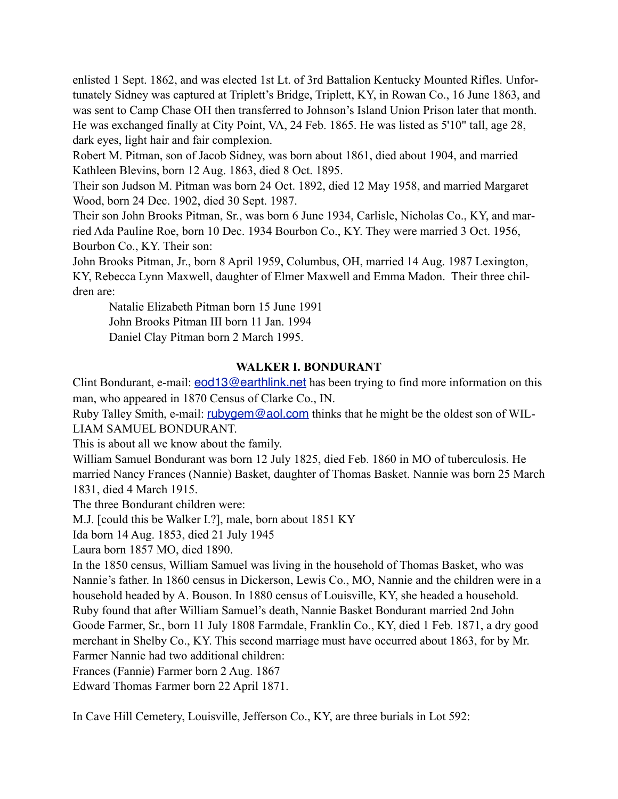enlisted 1 Sept. 1862, and was elected 1st Lt. of 3rd Battalion Kentucky Mounted Rifles. Unfortunately Sidney was captured at Triplett's Bridge, Triplett, KY, in Rowan Co., 16 June 1863, and was sent to Camp Chase OH then transferred to Johnson's Island Union Prison later that month. He was exchanged finally at City Point, VA, 24 Feb. 1865. He was listed as 5'10" tall, age 28, dark eyes, light hair and fair complexion.

Robert M. Pitman, son of Jacob Sidney, was born about 1861, died about 1904, and married Kathleen Blevins, born 12 Aug. 1863, died 8 Oct. 1895.

Their son Judson M. Pitman was born 24 Oct. 1892, died 12 May 1958, and married Margaret Wood, born 24 Dec. 1902, died 30 Sept. 1987.

Their son John Brooks Pitman, Sr., was born 6 June 1934, Carlisle, Nicholas Co., KY, and married Ada Pauline Roe, born 10 Dec. 1934 Bourbon Co., KY. They were married 3 Oct. 1956, Bourbon Co., KY. Their son:

John Brooks Pitman, Jr., born 8 April 1959, Columbus, OH, married 14 Aug. 1987 Lexington, KY, Rebecca Lynn Maxwell, daughter of Elmer Maxwell and Emma Madon. Their three children are:

 Natalie Elizabeth Pitman born 15 June 1991 John Brooks Pitman III born 11 Jan. 1994 Daniel Clay Pitman born 2 March 1995.

#### **WALKER I. BONDURANT**

Clint Bondurant, e-mail: **[eod13@earthlink.net](mailto:eod13@earthlink.net)** has been trying to find more information on this man, who appeared in 1870 Census of Clarke Co., IN.

Ruby Talley Smith, e-mail: [rubygem@aol.com](mailto:rubygem@aol.com) thinks that he might be the oldest son of WIL-LIAM SAMUEL BONDURANT.

This is about all we know about the family.

William Samuel Bondurant was born 12 July 1825, died Feb. 1860 in MO of tuberculosis. He married Nancy Frances (Nannie) Basket, daughter of Thomas Basket. Nannie was born 25 March 1831, died 4 March 1915.

The three Bondurant children were:

M.J. [could this be Walker I.?], male, born about 1851 KY

Ida born 14 Aug. 1853, died 21 July 1945

Laura born 1857 MO, died 1890.

In the 1850 census, William Samuel was living in the household of Thomas Basket, who was Nannie's father. In 1860 census in Dickerson, Lewis Co., MO, Nannie and the children were in a household headed by A. Bouson. In 1880 census of Louisville, KY, she headed a household. Ruby found that after William Samuel's death, Nannie Basket Bondurant married 2nd John Goode Farmer, Sr., born 11 July 1808 Farmdale, Franklin Co., KY, died 1 Feb. 1871, a dry good merchant in Shelby Co., KY. This second marriage must have occurred about 1863, for by Mr. Farmer Nannie had two additional children:

Frances (Fannie) Farmer born 2 Aug. 1867

Edward Thomas Farmer born 22 April 1871.

In Cave Hill Cemetery, Louisville, Jefferson Co., KY, are three burials in Lot 592: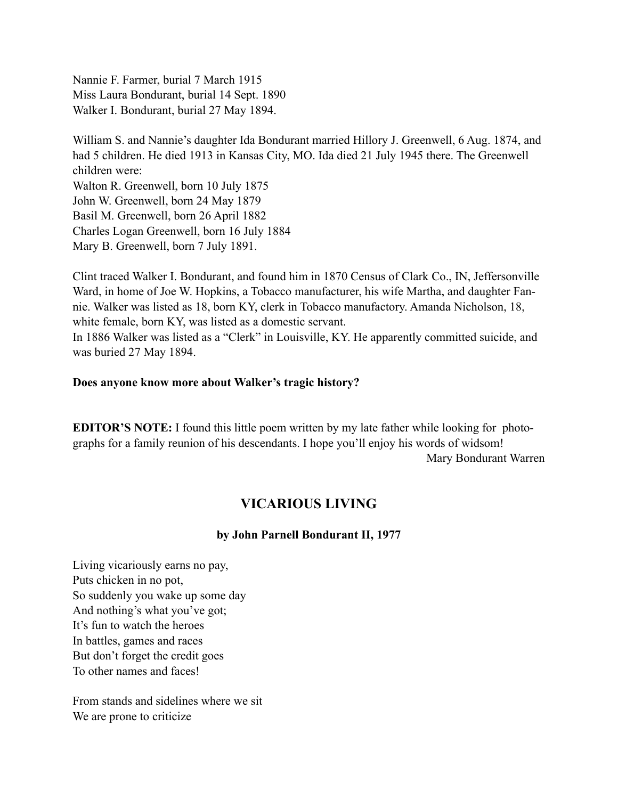Nannie F. Farmer, burial 7 March 1915 Miss Laura Bondurant, burial 14 Sept. 1890 Walker I. Bondurant, burial 27 May 1894.

William S. and Nannie's daughter Ida Bondurant married Hillory J. Greenwell, 6 Aug. 1874, and had 5 children. He died 1913 in Kansas City, MO. Ida died 21 July 1945 there. The Greenwell children were: Walton R. Greenwell, born 10 July 1875 John W. Greenwell, born 24 May 1879 Basil M. Greenwell, born 26 April 1882 Charles Logan Greenwell, born 16 July 1884 Mary B. Greenwell, born 7 July 1891.

Clint traced Walker I. Bondurant, and found him in 1870 Census of Clark Co., IN, Jeffersonville Ward, in home of Joe W. Hopkins, a Tobacco manufacturer, his wife Martha, and daughter Fannie. Walker was listed as 18, born KY, clerk in Tobacco manufactory. Amanda Nicholson, 18, white female, born KY, was listed as a domestic servant.

In 1886 Walker was listed as a "Clerk" in Louisville, KY. He apparently committed suicide, and was buried 27 May 1894.

#### **Does anyone know more about Walker's tragic history?**

**EDITOR'S NOTE:** I found this little poem written by my late father while looking for photographs for a family reunion of his descendants. I hope you'll enjoy his words of widsom! Mary Bondurant Warren

### **VICARIOUS LIVING**

#### **by John Parnell Bondurant II, 1977**

Living vicariously earns no pay, Puts chicken in no pot, So suddenly you wake up some day And nothing's what you've got; It's fun to watch the heroes In battles, games and races But don't forget the credit goes To other names and faces!

From stands and sidelines where we sit We are prone to criticize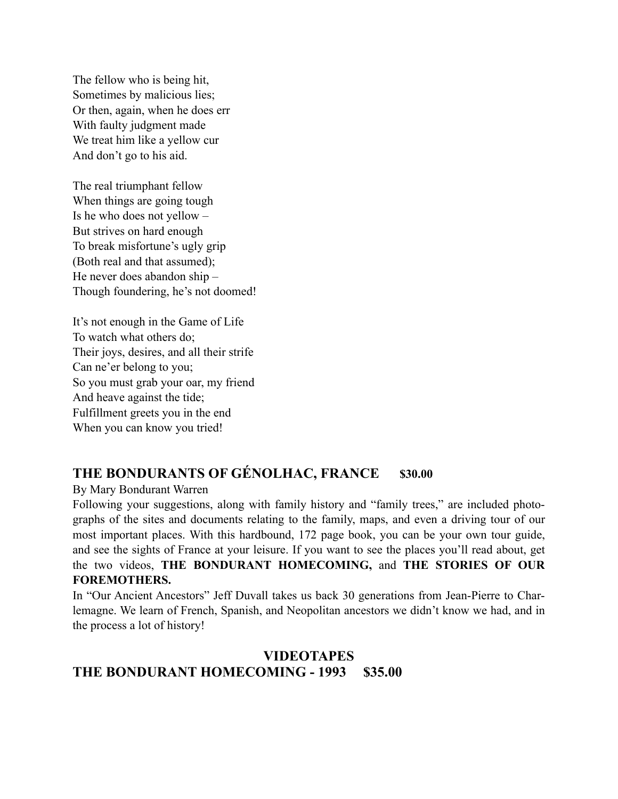The fellow who is being hit, Sometimes by malicious lies; Or then, again, when he does err With faulty judgment made We treat him like a yellow cur And don't go to his aid.

The real triumphant fellow When things are going tough Is he who does not yellow – But strives on hard enough To break misfortune's ugly grip (Both real and that assumed); He never does abandon ship – Though foundering, he's not doomed!

It's not enough in the Game of Life To watch what others do; Their joys, desires, and all their strife Can ne'er belong to you; So you must grab your oar, my friend And heave against the tide; Fulfillment greets you in the end When you can know you tried!

## THE BONDURANTS OF GÉNOLHAC, FRANCE \$30.00

By Mary Bondurant Warren

Following your suggestions, along with family history and "family trees," are included photographs of the sites and documents relating to the family, maps, and even a driving tour of our most important places. With this hardbound, 172 page book, you can be your own tour guide, and see the sights of France at your leisure. If you want to see the places you'll read about, get the two videos, **THE BONDURANT HOMECOMING,** and **THE STORIES OF OUR FOREMOTHERS.**

In "Our Ancient Ancestors" Jeff Duvall takes us back 30 generations from Jean-Pierre to Charlemagne. We learn of French, Spanish, and Neopolitan ancestors we didn't know we had, and in the process a lot of history!

## **VIDEOTAPES THE BONDURANT HOMECOMING - 1993 \$35.00**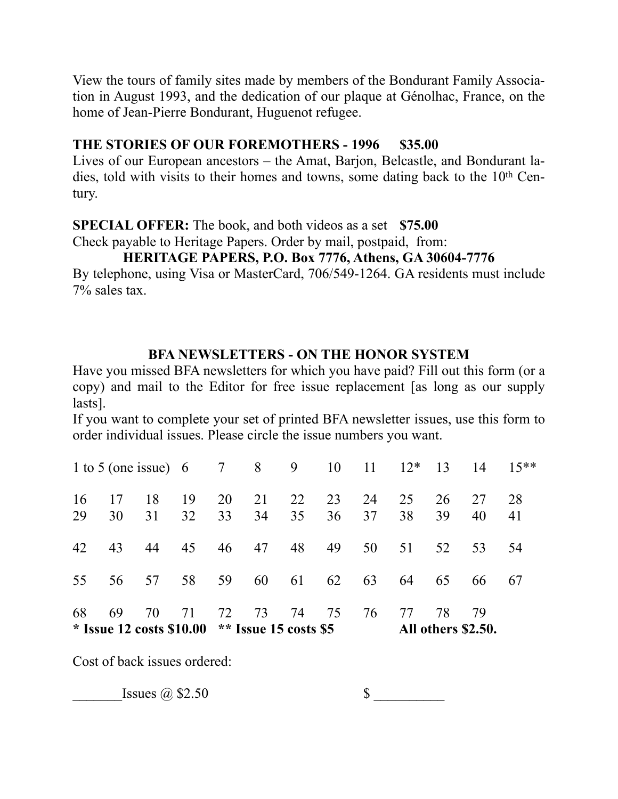View the tours of family sites made by members of the Bondurant Family Association in August 1993, and the dedication of our plaque at Génolhac, France, on the home of Jean-Pierre Bondurant, Huguenot refugee.

## **THE STORIES OF OUR FOREMOTHERS - 1996 \$35.00**

Lives of our European ancestors – the Amat, Barjon, Belcastle, and Bondurant ladies, told with visits to their homes and towns, some dating back to the  $10<sup>th</sup>$  Century.

**SPECIAL OFFER:** The book, and both videos as a set **\$75.00**

Check payable to Heritage Papers. Order by mail, postpaid, from:

## **HERITAGE PAPERS, P.O. Box 7776, Athens, GA 30604-7776**

By telephone, using Visa or MasterCard, 706/549-1264. GA residents must include 7% sales tax.

## **BFA NEWSLETTERS - ON THE HONOR SYSTEM**

Have you missed BFA newsletters for which you have paid? Fill out this form (or a copy) and mail to the Editor for free issue replacement [as long as our supply lasts].

If you want to complete your set of printed BFA newsletter issues, use this form to order individual issues. Please circle the issue numbers you want.

| 16<br>29 | 17<br>30 | 18<br>31 | 19<br>32                                                | 20<br>33 | 21<br>34 | 22<br>35 | 23<br>36 | 24<br>37 | 25<br>38 | 26<br>39                 | 27<br>40 | 28<br>41 |
|----------|----------|----------|---------------------------------------------------------|----------|----------|----------|----------|----------|----------|--------------------------|----------|----------|
| 42       | 43       | 44       | 45                                                      | 46       | 47       | 48       | 49       | 50       | 51       | 52                       | 53       | 54       |
| 55       |          | 56 57    | 58 59                                                   |          | 60       | 61       | 62       | 63       | 64       | 65                       | 66       | -67      |
| 68       | 69       | 70       | 71<br>* Issue 12 costs \$10.00 $*$ * Issue 15 costs \$5 | 72       | 73       | 74       | 75       | 76       | 77       | 78<br>All others \$2.50. | 79       |          |

Cost of back issues ordered:

 $\text{Issues} \; \textcircled{a} \; \$2.50 \; \text{S}$